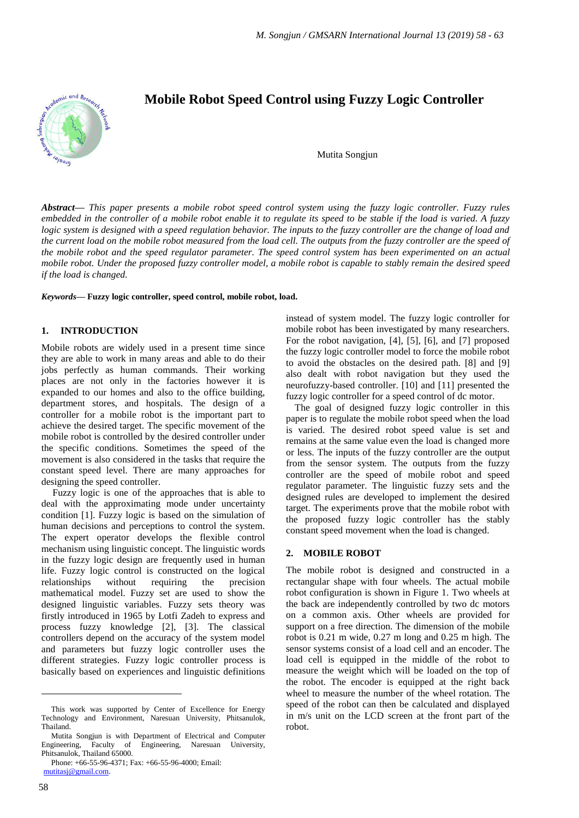

# **Mobile Robot Speed Control using Fuzzy Logic Controller**

Mutita Songjun

*Abstract***—** *This paper presents a mobile robot speed control system using the fuzzy logic controller. Fuzzy rules embedded in the controller of a mobile robot enable it to regulate its speed to be stable if the load is varied. A fuzzy logic system is designed with a speed regulation behavior. The inputs to the fuzzy controller are the change of load and the current load on the mobile robot measured from the load cell. The outputs from the fuzzy controller are the speed of the mobile robot and the speed regulator parameter. The speed control system has been experimented on an actual mobile robot. Under the proposed fuzzy controller model, a mobile robot is capable to stably remain the desired speed if the load is changed.*

*Keywords***— Fuzzy logic controller, speed control, mobile robot, load.**

#### **1. INTRODUCTION**

Mobile robots are widely used in a present time since they are able to work in many areas and able to do their jobs perfectly as human commands. Their working places are not only in the factories however it is expanded to our homes and also to the office building, department stores, and hospitals. The design of a controller for a mobile robot is the important part to achieve the desired target. The specific movement of the mobile robot is controlled by the desired controller under the specific conditions. Sometimes the speed of the movement is also considered in the tasks that require the constant speed level. There are many approaches for designing the speed controller.

Fuzzy logic is one of the approaches that is able to deal with the approximating mode under uncertainty condition [1]. Fuzzy logic is based on the simulation of human decisions and perceptions to control the system. The expert operator develops the flexible control mechanism using linguistic concept. The linguistic words in the fuzzy logic design are frequently used in human life. Fuzzy logic control is constructed on the logical relationships without requiring the precision mathematical model. Fuzzy set are used to show the designed linguistic variables. Fuzzy sets theory was firstly introduced in 1965 by Lotfi Zadeh to express and process fuzzy knowledge [2], [3]. The classical controllers depend on the accuracy of the system model and parameters but fuzzy logic controller uses the different strategies. Fuzzy logic controller process is basically based on experiences and linguistic definitions

instead of system model. The fuzzy logic controller for mobile robot has been investigated by many researchers. For the robot navigation, [4], [5], [6], and [7] proposed the fuzzy logic controller model to force the mobile robot to avoid the obstacles on the desired path. [8] and [9] also dealt with robot navigation but they used the neurofuzzy-based controller. [10] and [11] presented the fuzzy logic controller for a speed control of dc motor.

The goal of designed fuzzy logic controller in this paper is to regulate the mobile robot speed when the load is varied. The desired robot speed value is set and remains at the same value even the load is changed more or less. The inputs of the fuzzy controller are the output from the sensor system. The outputs from the fuzzy controller are the speed of mobile robot and speed regulator parameter. The linguistic fuzzy sets and the designed rules are developed to implement the desired target. The experiments prove that the mobile robot with the proposed fuzzy logic controller has the stably constant speed movement when the load is changed.

#### **2. MOBILE ROBOT**

The mobile robot is designed and constructed in a rectangular shape with four wheels. The actual mobile robot configuration is shown in Figure 1. Two wheels at the back are independently controlled by two dc motors on a common axis. Other wheels are provided for support on a free direction. The dimension of the mobile robot is 0.21 m wide, 0.27 m long and 0.25 m high. The sensor systems consist of a load cell and an encoder. The load cell is equipped in the middle of the robot to measure the weight which will be loaded on the top of the robot. The encoder is equipped at the right back wheel to measure the number of the wheel rotation. The speed of the robot can then be calculated and displayed in m/s unit on the LCD screen at the front part of the robot.

 $\overline{a}$ 

This work was supported by Center of Excellence for Energy Technology and Environment, Naresuan University, Phitsanulok, Thailand.

Mutita Songjun is with Department of Electrical and Computer Engineering, Faculty of Engineering, Naresuan University, Phitsanulok, Thailand 65000.

Phone: +66-55-96-4371; Fax: +66-55-96-4000; Email: [mutitasj@gmail.com.](mailto:mutitasj@gmail.com)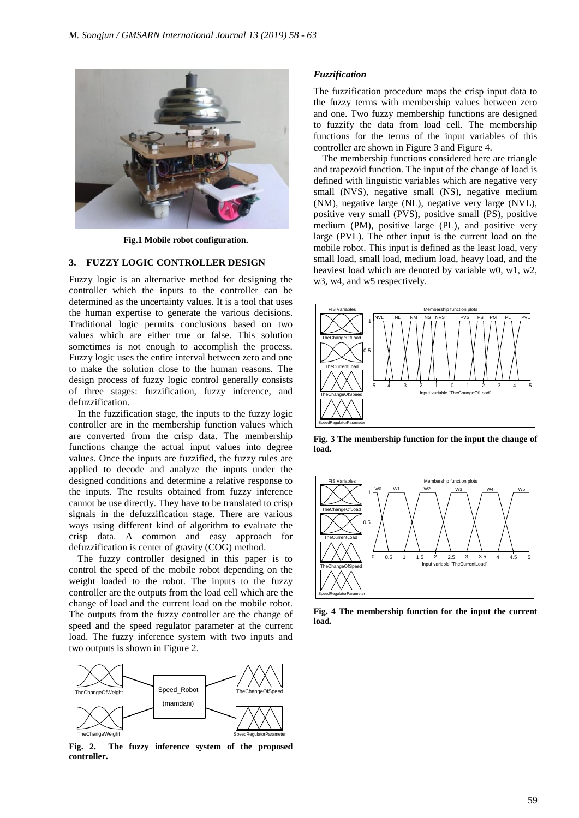

**Fig.1 Mobile robot configuration.**

# **3. FUZZY LOGIC CONTROLLER DESIGN**

Fuzzy logic is an alternative method for designing the controller which the inputs to the controller can be determined as the uncertainty values. It is a tool that uses the human expertise to generate the various decisions. Traditional logic permits conclusions based on two values which are either true or false. This solution sometimes is not enough to accomplish the process. Fuzzy logic uses the entire interval between zero and one to make the solution close to the human reasons. The design process of fuzzy logic control generally consists of three stages: fuzzification, fuzzy inference, and defuzzification.

In the fuzzification stage, the inputs to the fuzzy logic controller are in the membership function values which are converted from the crisp data. The membership functions change the actual input values into degree values. Once the inputs are fuzzified, the fuzzy rules are applied to decode and analyze the inputs under the designed conditions and determine a relative response to the inputs. The results obtained from fuzzy inference cannot be use directly. They have to be translated to crisp signals in the defuzzification stage. There are various ways using different kind of algorithm to evaluate the crisp data. A common and easy approach for defuzzification is center of gravity (COG) method.

The fuzzy controller designed in this paper is to control the speed of the mobile robot depending on the weight loaded to the robot. The inputs to the fuzzy controller are the outputs from the load cell which are the change of load and the current load on the mobile robot. The outputs from the fuzzy controller are the change of speed and the speed regulator parameter at the current load. The fuzzy inference system with two inputs and two outputs is shown in Figure 2.



**Fig. 2. The fuzzy inference system of the proposed controller.**

#### *Fuzzification*

The fuzzification procedure maps the crisp input data to the fuzzy terms with membership values between zero and one. Two fuzzy membership functions are designed to fuzzify the data from load cell. The membership functions for the terms of the input variables of this controller are shown in Figure 3 and Figure 4.

The membership functions considered here are triangle and trapezoid function. The input of the change of load is defined with linguistic variables which are negative very small (NVS), negative small (NS), negative medium (NM), negative large (NL), negative very large (NVL), positive very small (PVS), positive small (PS), positive medium (PM), positive large (PL), and positive very large (PVL). The other input is the current load on the mobile robot. This input is defined as the least load, very small load, small load, medium load, heavy load, and the heaviest load which are denoted by variable w0, w1, w2, w3, w4, and w5 respectively.



**Fig. 3 The membership function for the input the change of load.**



**Fig. 4 The membership function for the input the current load.**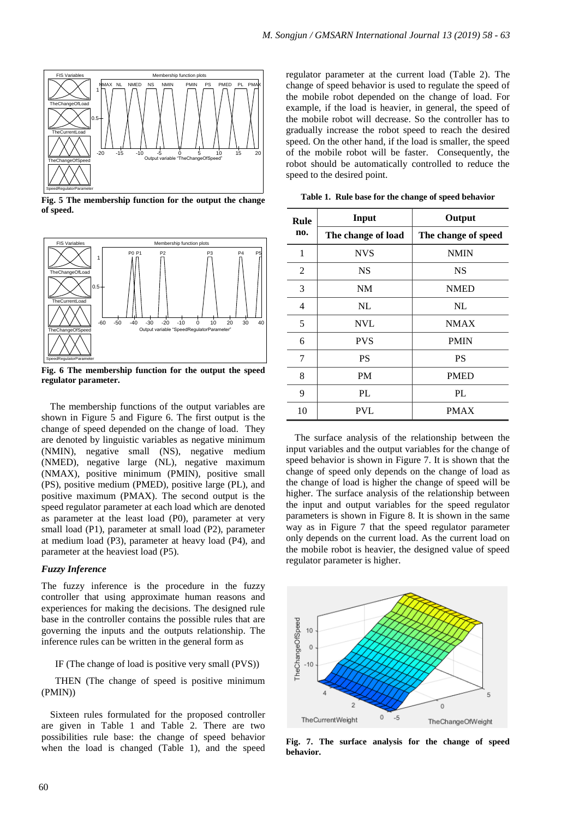

**Fig. 5 The membership function for the output the change of speed.**



**Fig. 6 The membership function for the output the speed regulator parameter.**

The membership functions of the output variables are shown in Figure 5 and Figure 6. The first output is the change of speed depended on the change of load. They are denoted by linguistic variables as negative minimum (NMIN), negative small (NS), negative medium (NMED), negative large (NL), negative maximum (NMAX), positive minimum (PMIN), positive small (PS), positive medium (PMED), positive large (PL), and positive maximum (PMAX). The second output is the speed regulator parameter at each load which are denoted as parameter at the least load (P0), parameter at very small load (P1), parameter at small load (P2), parameter at medium load (P3), parameter at heavy load (P4), and parameter at the heaviest load (P5).

#### *Fuzzy Inference*

The fuzzy inference is the procedure in the fuzzy controller that using approximate human reasons and experiences for making the decisions. The designed rule base in the controller contains the possible rules that are governing the inputs and the outputs relationship. The inference rules can be written in the general form as

IF (The change of load is positive very small (PVS))

THEN (The change of speed is positive minimum (PMIN))

Sixteen rules formulated for the proposed controller are given in Table 1 and Table 2. There are two possibilities rule base: the change of speed behavior when the load is changed (Table 1), and the speed

regulator parameter at the current load (Table 2). The change of speed behavior is used to regulate the speed of the mobile robot depended on the change of load. For example, if the load is heavier, in general, the speed of the mobile robot will decrease. So the controller has to gradually increase the robot speed to reach the desired speed. On the other hand, if the load is smaller, the speed of the mobile robot will be faster. Consequently, the robot should be automatically controlled to reduce the speed to the desired point.

| Rule<br>no. | Input              | Output              |
|-------------|--------------------|---------------------|
|             | The change of load | The change of speed |
| 1           | <b>NVS</b>         | <b>NMIN</b>         |
| 2           | <b>NS</b>          | <b>NS</b>           |
| 3           | NM                 | <b>NMED</b>         |
| 4           | NL                 | NL                  |
| 5           | <b>NVL</b>         | <b>NMAX</b>         |
| 6           | <b>PVS</b>         | <b>PMIN</b>         |
| 7           | <b>PS</b>          | <b>PS</b>           |
| 8           | <b>PM</b>          | <b>PMED</b>         |
| 9           | PL                 | PL.                 |
| 10          | <b>PVL</b>         | <b>PMAX</b>         |

**Table 1. Rule base for the change of speed behavior**

The surface analysis of the relationship between the input variables and the output variables for the change of speed behavior is shown in Figure 7. It is shown that the change of speed only depends on the change of load as the change of load is higher the change of speed will be higher. The surface analysis of the relationship between the input and output variables for the speed regulator parameters is shown in Figure 8. It is shown in the same way as in Figure 7 that the speed regulator parameter only depends on the current load. As the current load on the mobile robot is heavier, the designed value of speed regulator parameter is higher.



**Fig. 7. The surface analysis for the change of speed behavior.**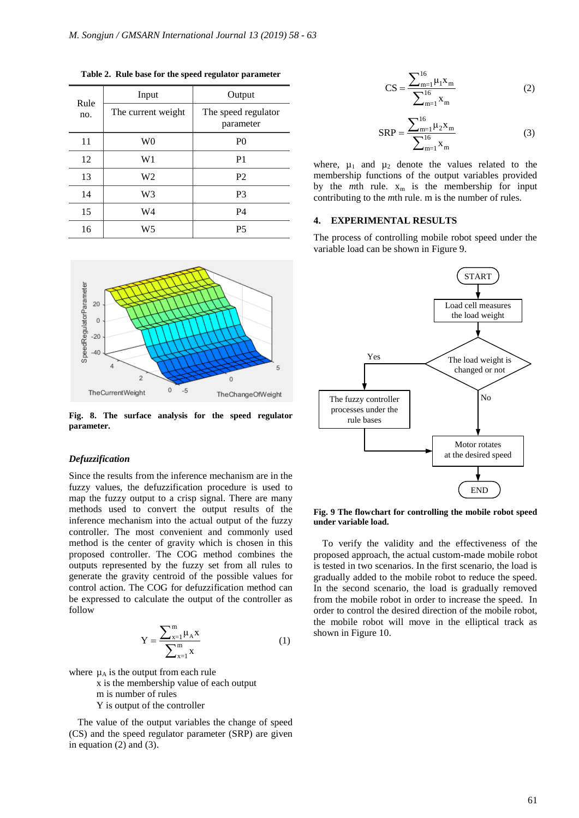| Rule<br>no. | Input              | Output                           |
|-------------|--------------------|----------------------------------|
|             | The current weight | The speed regulator<br>parameter |
| 11          | W <sub>0</sub>     | P <sub>0</sub>                   |
| 12          | W1                 | P <sub>1</sub>                   |
| 13          | W <sub>2</sub>     | P <sub>2</sub>                   |
| 14          | W <sub>3</sub>     | P <sub>3</sub>                   |
| 15          | W4                 | P <sub>4</sub>                   |
| 16          | W5                 | <b>P5</b>                        |

**Table 2. Rule base for the speed regulator parameter**



**Fig. 8. The surface analysis for the speed regulator parameter.**

### *Defuzzification*

Since the results from the inference mechanism are in the fuzzy values, the defuzzification procedure is used to map the fuzzy output to a crisp signal. There are many methods used to convert the output results of the inference mechanism into the actual output of the fuzzy controller. The most convenient and commonly used method is the center of gravity which is chosen in this proposed controller. The COG method combines the outputs represented by the fuzzy set from all rules to generate the gravity centroid of the possible values for control action. The COG for defuzzification method can be expressed to calculate the output of the controller as follow

$$
Y = \frac{\sum_{x=1}^{m} \mu_{A} x}{\sum_{x=1}^{m} x}
$$
 (1)

where  $\mu_A$  is the output from each rule

 x is the membership value of each output m is number of rules Y is output of the controller

The value of the output variables the change of speed (CS) and the speed regulator parameter (SRP) are given in equation (2) and (3).

$$
CS = \frac{\sum_{m=1}^{16} \mu_1 x_m}{\sum_{m=1}^{16} x_m}
$$
 (2)

$$
SRP = \frac{\sum_{m=1}^{16} \mu_2 x_m}{\sum_{m=1}^{16} x_m}
$$
 (3)

where,  $\mu_1$  and  $\mu_2$  denote the values related to the membership functions of the output variables provided by the *m*th rule.  $x_m$  is the membership for input contributing to the *m*th rule. m is the number of rules.

# **4. EXPERIMENTAL RESULTS**

The process of controlling mobile robot speed under the variable load can be shown in Figure 9.



**Fig. 9 The flowchart for controlling the mobile robot speed under variable load.**

To verify the validity and the effectiveness of the proposed approach, the actual custom-made mobile robot is tested in two scenarios. In the first scenario, the load is gradually added to the mobile robot to reduce the speed. In the second scenario, the load is gradually removed from the mobile robot in order to increase the speed. In order to control the desired direction of the mobile robot, the mobile robot will move in the elliptical track as shown in Figure 10.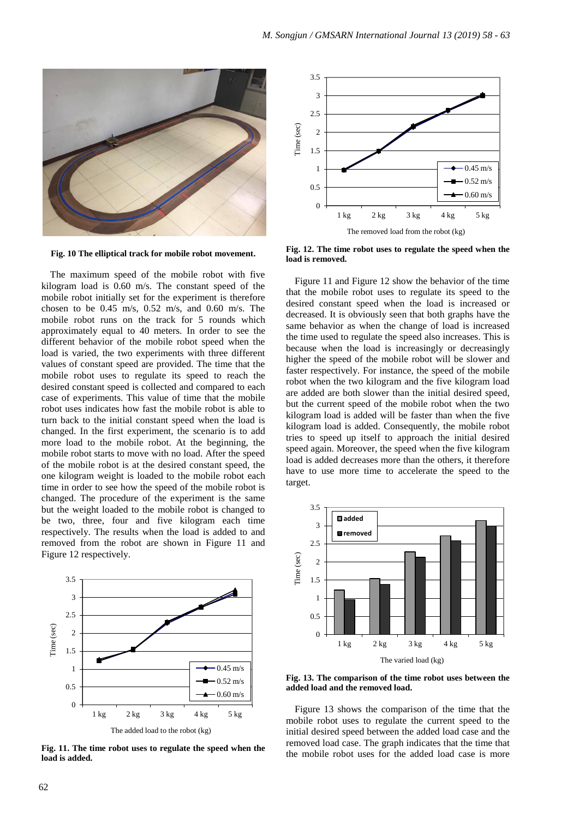



**Fig. 10 The elliptical track for mobile robot movement.**

The maximum speed of the mobile robot with five kilogram load is 0.60 m/s. The constant speed of the mobile robot initially set for the experiment is therefore chosen to be  $0.45$  m/s,  $0.52$  m/s, and  $0.60$  m/s. The mobile robot runs on the track for 5 rounds which approximately equal to 40 meters. In order to see the different behavior of the mobile robot speed when the load is varied, the two experiments with three different values of constant speed are provided. The time that the mobile robot uses to regulate its speed to reach the desired constant speed is collected and compared to each case of experiments. This value of time that the mobile robot uses indicates how fast the mobile robot is able to turn back to the initial constant speed when the load is changed. In the first experiment, the scenario is to add more load to the mobile robot. At the beginning, the mobile robot starts to move with no load. After the speed of the mobile robot is at the desired constant speed, the one kilogram weight is loaded to the mobile robot each time in order to see how the speed of the mobile robot is changed. The procedure of the experiment is the same but the weight loaded to the mobile robot is changed to be two, three, four and five kilogram each time respectively. The results when the load is added to and removed from the robot are shown in Figure 11 and Figure 12 respectively.



**Fig. 11. The time robot uses to regulate the speed when the load is added.**

**Fig. 12. The time robot uses to regulate the speed when the load is removed.**

Figure 11 and Figure 12 show the behavior of the time that the mobile robot uses to regulate its speed to the desired constant speed when the load is increased or decreased. It is obviously seen that both graphs have the same behavior as when the change of load is increased the time used to regulate the speed also increases. This is because when the load is increasingly or decreasingly higher the speed of the mobile robot will be slower and faster respectively. For instance, the speed of the mobile robot when the two kilogram and the five kilogram load are added are both slower than the initial desired speed, but the current speed of the mobile robot when the two kilogram load is added will be faster than when the five kilogram load is added. Consequently, the mobile robot tries to speed up itself to approach the initial desired speed again. Moreover, the speed when the five kilogram load is added decreases more than the others, it therefore have to use more time to accelerate the speed to the target.



**Fig. 13. The comparison of the time robot uses between the added load and the removed load.**

Figure 13 shows the comparison of the time that the mobile robot uses to regulate the current speed to the initial desired speed between the added load case and the removed load case. The graph indicates that the time that the mobile robot uses for the added load case is more